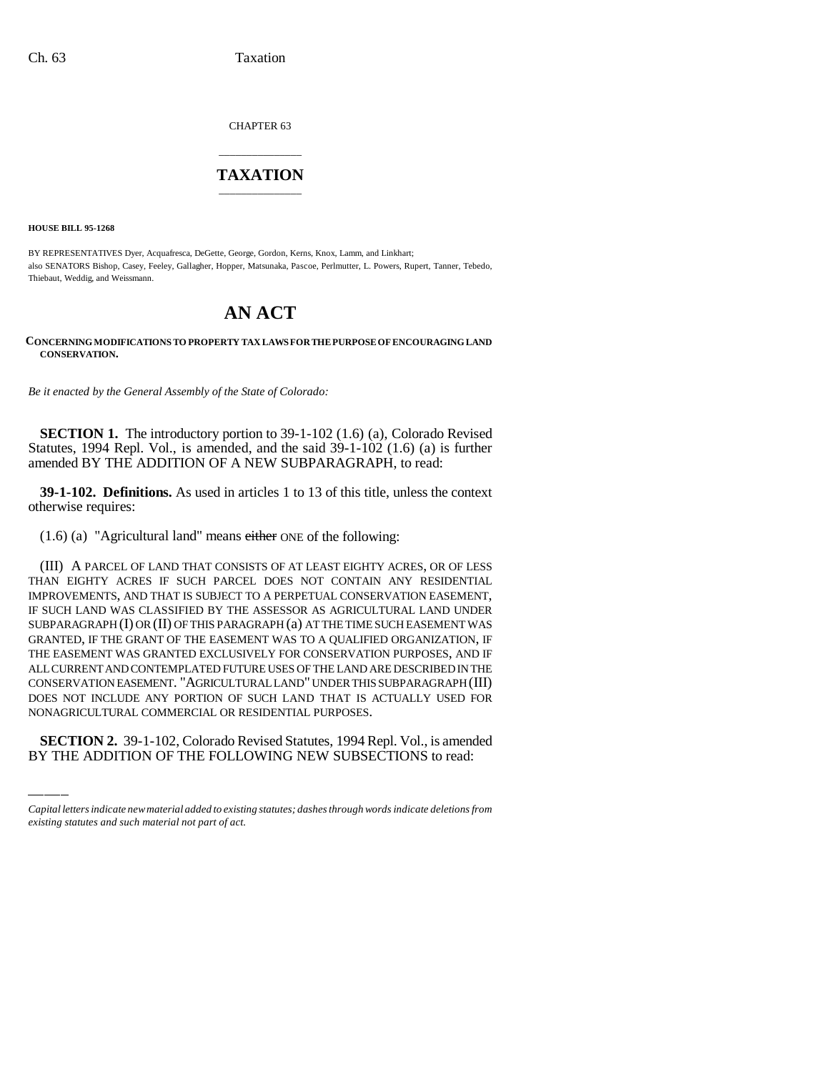CHAPTER 63

## \_\_\_\_\_\_\_\_\_\_\_\_\_\_\_ **TAXATION** \_\_\_\_\_\_\_\_\_\_\_\_\_\_\_

**HOUSE BILL 95-1268**

BY REPRESENTATIVES Dyer, Acquafresca, DeGette, George, Gordon, Kerns, Knox, Lamm, and Linkhart; also SENATORS Bishop, Casey, Feeley, Gallagher, Hopper, Matsunaka, Pascoe, Perlmutter, L. Powers, Rupert, Tanner, Tebedo, Thiebaut, Weddig, and Weissmann.

# **AN ACT**

#### **CONCERNING MODIFICATIONS TO PROPERTY TAX LAWS FOR THE PURPOSE OF ENCOURAGING LAND CONSERVATION.**

*Be it enacted by the General Assembly of the State of Colorado:*

**SECTION 1.** The introductory portion to 39-1-102 (1.6) (a), Colorado Revised Statutes, 1994 Repl. Vol., is amended, and the said 39-1-102 (1.6) (a) is further amended BY THE ADDITION OF A NEW SUBPARAGRAPH, to read:

**39-1-102. Definitions.** As used in articles 1 to 13 of this title, unless the context otherwise requires:

(1.6) (a) "Agricultural land" means either ONE of the following:

DOES NOT INCLUDE ANY PORTION OF SUCH LAND THAT IS ACTUALLY USED FOR (III) A PARCEL OF LAND THAT CONSISTS OF AT LEAST EIGHTY ACRES, OR OF LESS THAN EIGHTY ACRES IF SUCH PARCEL DOES NOT CONTAIN ANY RESIDENTIAL IMPROVEMENTS, AND THAT IS SUBJECT TO A PERPETUAL CONSERVATION EASEMENT, IF SUCH LAND WAS CLASSIFIED BY THE ASSESSOR AS AGRICULTURAL LAND UNDER SUBPARAGRAPH (I) OR (II) OF THIS PARAGRAPH (a) AT THE TIME SUCH EASEMENT WAS GRANTED, IF THE GRANT OF THE EASEMENT WAS TO A QUALIFIED ORGANIZATION, IF THE EASEMENT WAS GRANTED EXCLUSIVELY FOR CONSERVATION PURPOSES, AND IF ALL CURRENT AND CONTEMPLATED FUTURE USES OF THE LAND ARE DESCRIBED IN THE CONSERVATION EASEMENT. "AGRICULTURAL LAND" UNDER THIS SUBPARAGRAPH (III) NONAGRICULTURAL COMMERCIAL OR RESIDENTIAL PURPOSES.

**SECTION 2.** 39-1-102, Colorado Revised Statutes, 1994 Repl. Vol., is amended BY THE ADDITION OF THE FOLLOWING NEW SUBSECTIONS to read:

*Capital letters indicate new material added to existing statutes; dashes through words indicate deletions from existing statutes and such material not part of act.*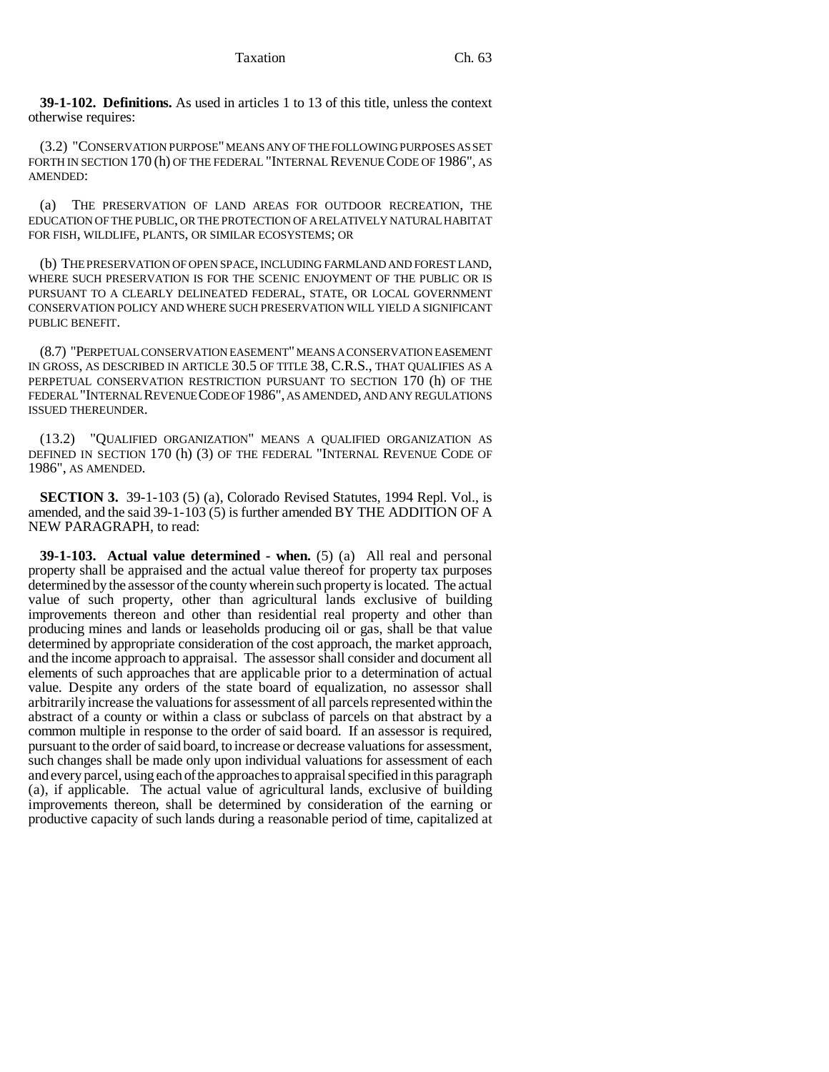**39-1-102. Definitions.** As used in articles 1 to 13 of this title, unless the context otherwise requires:

(3.2) "CONSERVATION PURPOSE" MEANS ANY OF THE FOLLOWING PURPOSES AS SET FORTH IN SECTION 170 (h) OF THE FEDERAL "INTERNAL REVENUE CODE OF 1986", AS AMENDED:

(a) THE PRESERVATION OF LAND AREAS FOR OUTDOOR RECREATION, THE EDUCATION OF THE PUBLIC, OR THE PROTECTION OF A RELATIVELY NATURAL HABITAT FOR FISH, WILDLIFE, PLANTS, OR SIMILAR ECOSYSTEMS; OR

(b) THE PRESERVATION OF OPEN SPACE, INCLUDING FARMLAND AND FOREST LAND, WHERE SUCH PRESERVATION IS FOR THE SCENIC ENJOYMENT OF THE PUBLIC OR IS PURSUANT TO A CLEARLY DELINEATED FEDERAL, STATE, OR LOCAL GOVERNMENT CONSERVATION POLICY AND WHERE SUCH PRESERVATION WILL YIELD A SIGNIFICANT PUBLIC BENEFIT.

(8.7) "PERPETUAL CONSERVATION EASEMENT" MEANS A CONSERVATION EASEMENT IN GROSS, AS DESCRIBED IN ARTICLE 30.5 OF TITLE 38, C.R.S., THAT QUALIFIES AS A PERPETUAL CONSERVATION RESTRICTION PURSUANT TO SECTION 170 (h) OF THE FEDERAL "INTERNAL REVENUE CODE OF 1986", AS AMENDED, AND ANY REGULATIONS ISSUED THEREUNDER.

(13.2) "QUALIFIED ORGANIZATION" MEANS A QUALIFIED ORGANIZATION AS DEFINED IN SECTION 170 (h) (3) OF THE FEDERAL "INTERNAL REVENUE CODE OF 1986", AS AMENDED.

**SECTION 3.** 39-1-103 (5) (a), Colorado Revised Statutes, 1994 Repl. Vol., is amended, and the said 39-1-103 (5) is further amended BY THE ADDITION OF A NEW PARAGRAPH, to read:

**39-1-103. Actual value determined - when.** (5) (a) All real and personal property shall be appraised and the actual value thereof for property tax purposes determined by the assessor of the county wherein such property is located. The actual value of such property, other than agricultural lands exclusive of building improvements thereon and other than residential real property and other than producing mines and lands or leaseholds producing oil or gas, shall be that value determined by appropriate consideration of the cost approach, the market approach, and the income approach to appraisal. The assessor shall consider and document all elements of such approaches that are applicable prior to a determination of actual value. Despite any orders of the state board of equalization, no assessor shall arbitrarily increase the valuations for assessment of all parcels represented within the abstract of a county or within a class or subclass of parcels on that abstract by a common multiple in response to the order of said board. If an assessor is required, pursuant to the order of said board, to increase or decrease valuations for assessment, such changes shall be made only upon individual valuations for assessment of each and every parcel, using each of the approaches to appraisal specified in this paragraph (a), if applicable. The actual value of agricultural lands, exclusive of building improvements thereon, shall be determined by consideration of the earning or productive capacity of such lands during a reasonable period of time, capitalized at